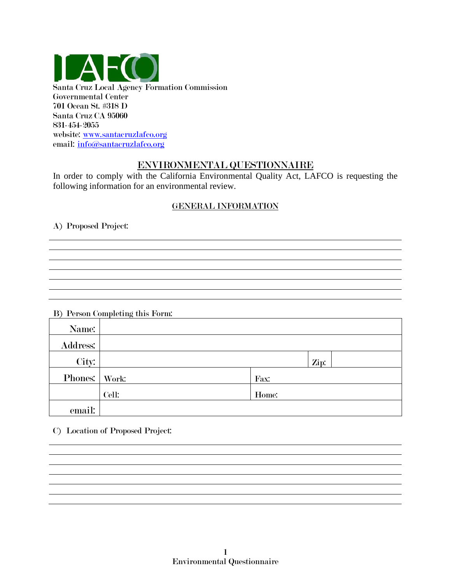

Governmental Center 701 Ocean St. #318 D Santa Cruz CA 95060 831-454-2055 website: [www.santacruzlafco.org](http://www.santacruzlafco.org/) email: [info@santacruzlafco.org](mailto:info@santacruzlafco.org)

# ENVIRONMENTAL QUESTIONNAIRE

In order to comply with the California Environmental Quality Act, LAFCO is requesting the following information for an environmental review.

## GENERAL INFORMATION

A) Proposed Project:

B) Person Completing this Form:

| Name:           | $\cdots$ |       |
|-----------------|----------|-------|
| <b>Address:</b> |          |       |
| City:           |          | Zip:  |
| Phones: Work:   |          | Fax:  |
|                 | Cell:    | Home: |
| email:          |          |       |

C) Location of Proposed Project: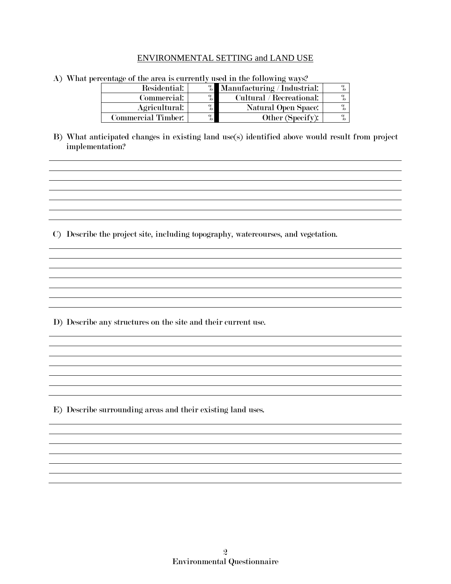#### ENVIRONMENTAL SETTING and LAND USE

| $100$ Huu $\leq$ Or the through the current $\eta$<br>$1.0000$ and $1.0000$ and $1.0000$ matrix $1.0000$ matrix $1.0000$ matrix $1.0000$ matrix $1.0000$ matrix $1.0000$ matrix $1.0000$ matrix $1.0000$ matrix $1.0000$ matrix $1.0000$ matrix $1.0000$ matrix $1.0000$ matrix $1.$ |                    |               |                             |  |
|--------------------------------------------------------------------------------------------------------------------------------------------------------------------------------------------------------------------------------------------------------------------------------------|--------------------|---------------|-----------------------------|--|
|                                                                                                                                                                                                                                                                                      | Residential:       | $\%$          | Manufacturing / Industrial: |  |
|                                                                                                                                                                                                                                                                                      | Commercial:        | $\mathbf{O}/$ | Cultural / Recreational:    |  |
|                                                                                                                                                                                                                                                                                      | Agricultural:      |               | Natural Open Space:         |  |
|                                                                                                                                                                                                                                                                                      | Commercial Timber: |               | Other (Specify):            |  |

- A) What percentage of the area is currently used in the following ways?
- B) What anticipated changes in existing land use(s) identified above would result from project implementation?

C) Describe the project site, including topography, watercourses, and vegetation.

D) Describe any structures on the site and their current use.

E) Describe surrounding areas and their existing land uses.

the control of the control of the control of the control of the control of the control of the control of the control of the control of the control of the control of the control of the control of the control of the control

<u> 1989 - Johann Stoff, amerikansk politiker (\* 1908)</u>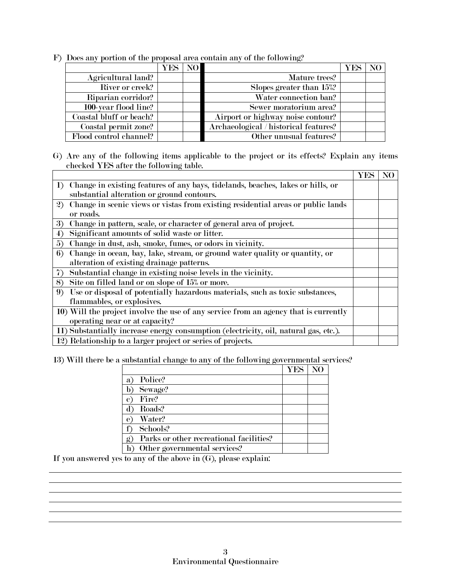F) Does any portion of the proposal area contain any of the following?

|                         | <b>YES NO</b> |                                       |  |
|-------------------------|---------------|---------------------------------------|--|
| Agricultural land?      |               | Mature trees?                         |  |
| River or creek?         |               | Slopes greater than 15%?              |  |
| Riparian corridor?      |               | Water connection ban?                 |  |
| 100-year flood line?    |               | Sewer moratorium area?                |  |
| Coastal bluff or beach? |               | Airport or highway noise contour?     |  |
| Coastal permit zone?    |               | Archaeological / historical features? |  |
| Flood control channel?  |               | Other unusual features?               |  |

G) Are any of the following items applicable to the project or its effects? Explain any items checked YES after the following table.

|                                                                                              | <b>YES</b> | NO |
|----------------------------------------------------------------------------------------------|------------|----|
| Change in existing features of any bays, tidelands, beaches, lakes or hills, or<br>$\bf{1)}$ |            |    |
| substantial alteration or ground contours.                                                   |            |    |
| Change in scenic views or vistas from existing residential areas or public lands<br>2        |            |    |
| or roads.                                                                                    |            |    |
| Change in pattern, scale, or character of general area of project.<br>3                      |            |    |
| Significant amounts of solid waste or litter.<br>4)                                          |            |    |
| Change in dust, ash, smoke, fumes, or odors in vicinity.<br>5)                               |            |    |
| Change in ocean, bay, lake, stream, or ground water quality or quantity, or<br>6)            |            |    |
| alteration of existing drainage patterns.                                                    |            |    |
| Substantial change in existing noise levels in the vicinity.<br>7                            |            |    |
| Site on filled land or on slope of 15% or more.<br>8)                                        |            |    |
| Use or disposal of potentially hazardous materials, such as toxic substances,<br>9           |            |    |
| flammables, or explosives.                                                                   |            |    |
| 10) Will the project involve the use of any service from an agency that is currently         |            |    |
| operating near or at capacity?                                                               |            |    |
| 11) Substantially increase energy consumption (electricity, oil, natural gas, etc.).         |            |    |
| 12) Relationship to a larger project or series of projects.                                  |            |    |

13) Will there be a substantial change to any of the following governmental services?

|                                              | YES. |  |
|----------------------------------------------|------|--|
| Police?<br>a                                 |      |  |
| Sewage?                                      |      |  |
| Fire?<br>C                                   |      |  |
| Roads?                                       |      |  |
| Water?<br>е                                  |      |  |
| Schools?                                     |      |  |
| Parks or other recreational facilities?<br>g |      |  |
| Other governmental services?                 |      |  |

If you answered yes to any of the above in (G), please explain: